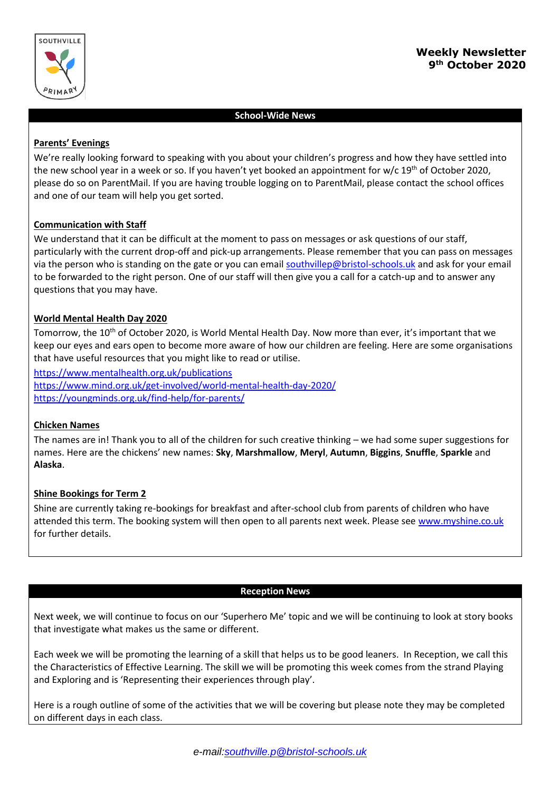

# **Weekly Newsletter 9 th October 2020**

### **School-Wide News**

#### **Parents' Evenings**

We're really looking forward to speaking with you about your children's progress and how they have settled into the new school year in a week or so. If you haven't yet booked an appointment for w/c 19th of October 2020, please do so on ParentMail. If you are having trouble logging on to ParentMail, please contact the school offices and one of our team will help you get sorted.

### **Communication with Staff**

We understand that it can be difficult at the moment to pass on messages or ask questions of our staff, particularly with the current drop-off and pick-up arrangements. Please remember that you can pass on messages via the person who is standing on the gate or you can email [southvillep@bristol-schools.uk](mailto:southvillep@bristol-schools.uk) and ask for your email to be forwarded to the right person. One of our staff will then give you a call for a catch-up and to answer any questions that you may have.

### **World Mental Health Day 2020**

Tomorrow, the 10<sup>th</sup> of October 2020, is World Mental Health Day. Now more than ever, it's important that we keep our eyes and ears open to become more aware of how our children are feeling. Here are some organisations that have useful resources that you might like to read or utilise.

<https://www.mentalhealth.org.uk/publications> <https://www.mind.org.uk/get-involved/world-mental-health-day-2020/>

<https://youngminds.org.uk/find-help/for-parents/>

#### **Chicken Names**

The names are in! Thank you to all of the children for such creative thinking – we had some super suggestions for names. Here are the chickens' new names: **Sky**, **Marshmallow**, **Meryl**, **Autumn**, **Biggins**, **Snuffle**, **Sparkle** and **Alaska**.

#### **Shine Bookings for Term 2**

Shine are currently taking re-bookings for breakfast and after-school club from parents of children who have attended this term. The booking system will then open to all parents next week. Please se[e www.myshine.co.uk](http://www.myshine.co.uk/) for further details.

#### **Reception News**

Next week, we will continue to focus on our 'Superhero Me' topic and we will be continuing to look at story books that investigate what makes us the same or different.

Each week we will be promoting the learning of a skill that helps us to be good leaners. In Reception, we call this the Characteristics of Effective Learning. The skill we will be promoting this week comes from the strand Playing and Exploring and is 'Representing their experiences through play'.

Here is a rough outline of some of the activities that we will be covering but please note they may be completed on different days in each class.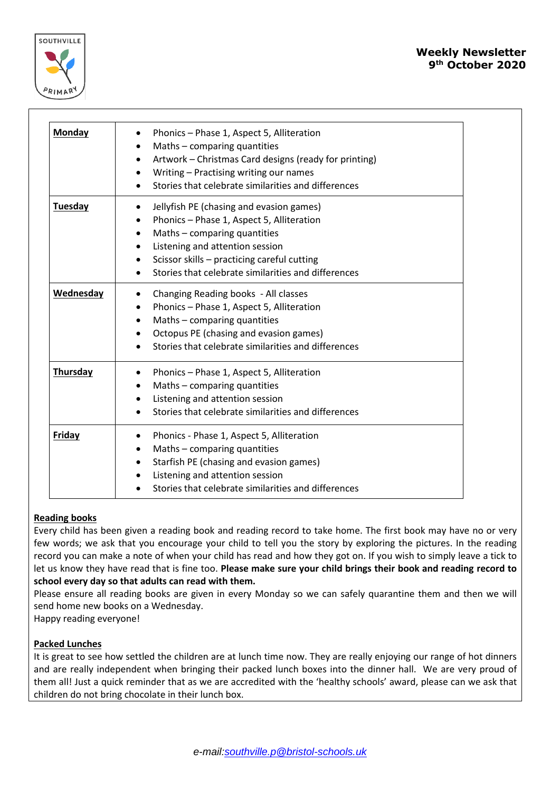

| <b>Monday</b>  | Phonics - Phase 1, Aspect 5, Alliteration<br>Maths - comparing quantities<br>Artwork - Christmas Card designs (ready for printing)<br>٠<br>Writing - Practising writing our names<br>Stories that celebrate similarities and differences                                 |
|----------------|--------------------------------------------------------------------------------------------------------------------------------------------------------------------------------------------------------------------------------------------------------------------------|
| <b>Tuesday</b> | Jellyfish PE (chasing and evasion games)<br>٠<br>Phonics - Phase 1, Aspect 5, Alliteration<br>Maths - comparing quantities<br>٠<br>Listening and attention session<br>Scissor skills - practicing careful cutting<br>Stories that celebrate similarities and differences |
| Wednesday      | Changing Reading books - All classes<br>Phonics - Phase 1, Aspect 5, Alliteration<br>٠<br>Maths - comparing quantities<br>Octopus PE (chasing and evasion games)<br>Stories that celebrate similarities and differences                                                  |
| Thursday       | Phonics - Phase 1, Aspect 5, Alliteration<br>٠<br>Maths - comparing quantities<br>Listening and attention session<br>٠<br>Stories that celebrate similarities and differences                                                                                            |
| <b>Friday</b>  | Phonics - Phase 1, Aspect 5, Alliteration<br>Maths - comparing quantities<br>٠<br>Starfish PE (chasing and evasion games)<br>Listening and attention session<br>Stories that celebrate similarities and differences                                                      |

## **Reading books**

Every child has been given a reading book and reading record to take home. The first book may have no or very few words; we ask that you encourage your child to tell you the story by exploring the pictures. In the reading record you can make a note of when your child has read and how they got on. If you wish to simply leave a tick to let us know they have read that is fine too. **Please make sure your child brings their book and reading record to school every day so that adults can read with them.**

Please ensure all reading books are given in every Monday so we can safely quarantine them and then we will send home new books on a Wednesday.

Happy reading everyone!

## **Packed Lunches**

It is great to see how settled the children are at lunch time now. They are really enjoying our range of hot dinners and are really independent when bringing their packed lunch boxes into the dinner hall. We are very proud of them all! Just a quick reminder that as we are accredited with the 'healthy schools' award, please can we ask that children do not bring chocolate in their lunch box.